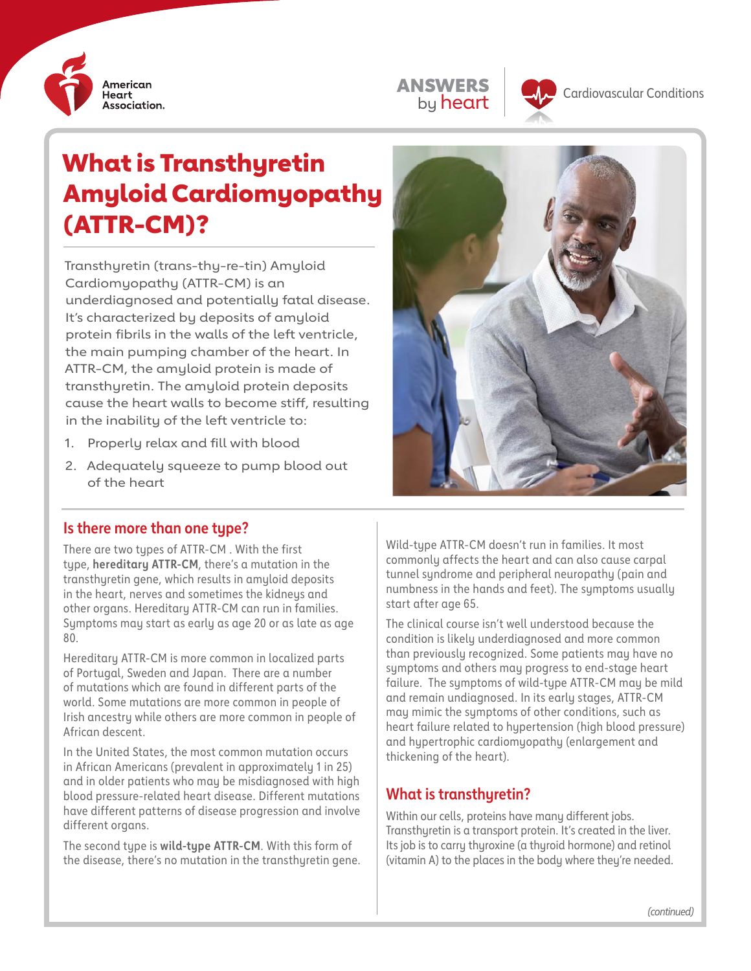

ANSWERS by heart



# What is Transthyretin Amyloid Cardiomyopathy (ATTR-CM)?

Transthyretin (trans-thy-re-tin) Amyloid Cardiomyopathy (ATTR-CM) is an underdiagnosed and potentially fatal disease. It's characterized by deposits of amyloid protein fibrils in the walls of the left ventricle, the main pumping chamber of the heart. In ATTR-CM, the amyloid protein is made of transthyretin. The amyloid protein deposits cause the heart walls to become stiff, resulting in the inability of the left ventricle to:

- 1. Properly relax and fill with blood
- 2. Adequately squeeze to pump blood out of the heart



## **Is there more than one type?**

There are two types of ATTR-CM . With the first type, **hereditary ATTR-CM**, there's a mutation in the transthyretin gene, which results in amyloid deposits in the heart, nerves and sometimes the kidneys and other organs. Hereditary ATTR-CM can run in families. Symptoms may start as early as age 20 or as late as age 80.

Hereditary ATTR-CM is more common in localized parts of Portugal, Sweden and Japan. There are a number of mutations which are found in different parts of the world. Some mutations are more common in people of Irish ancestry while others are more common in people of African descent.

In the United States, the most common mutation occurs in African Americans (prevalent in approximately 1 in 25) and in older patients who may be misdiagnosed with high blood pressure-related heart disease. Different mutations have different patterns of disease progression and involve different organs.

The second type is **wild-type ATTR-CM**. With this form of the disease, there's no mutation in the transthyretin gene. Wild-type ATTR-CM doesn't run in families. It most commonly affects the heart and can also cause carpal tunnel syndrome and peripheral neuropathy (pain and numbness in the hands and feet). The symptoms usually start after age 65.

The clinical course isn't well understood because the condition is likely underdiagnosed and more common than previously recognized. Some patients may have no symptoms and others may progress to end-stage heart failure. The symptoms of wild-type ATTR-CM may be mild and remain undiagnosed. In its early stages, ATTR-CM may mimic the symptoms of other conditions, such as heart failure related to hypertension (high blood pressure) and hypertrophic cardiomyopathy (enlargement and thickening of the heart).

# **What is transthyretin?**

Within our cells, proteins have many different jobs. Transthyretin is a transport protein. It's created in the liver. Its job is to carry thyroxine (a thyroid hormone) and retinol (vitamin A) to the places in the body where they're needed.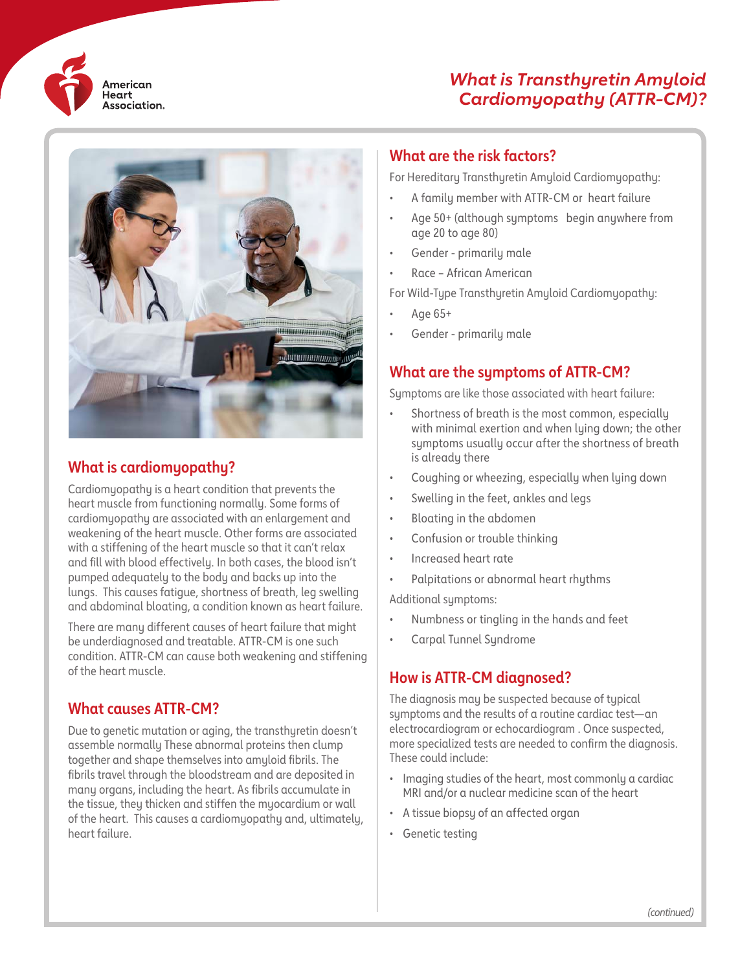

# *What is Transthyretin Amyloid Cardiomyopathy (ATTR-CM)?*



## **What is cardiomyopathy?**

Cardiomyopathy is a heart condition that prevents the heart muscle from functioning normally. Some forms of cardiomyopathy are associated with an enlargement and weakening of the heart muscle. Other forms are associated with a stiffening of the heart muscle so that it can't relax and fill with blood effectively. In both cases, the blood isn't pumped adequately to the body and backs up into the lungs. This causes fatigue, shortness of breath, leg swelling and abdominal bloating, a condition known as heart failure.

There are many different causes of heart failure that might be underdiagnosed and treatable. ATTR-CM is one such condition. ATTR-CM can cause both weakening and stiffening of the heart muscle.

#### **What causes ATTR-CM?**

Due to genetic mutation or aging, the transthyretin doesn't assemble normally These abnormal proteins then clump together and shape themselves into amyloid fibrils. The fibrils travel through the bloodstream and are deposited in many organs, including the heart. As fibrils accumulate in the tissue, they thicken and stiffen the myocardium or wall of the heart. This causes a cardiomyopathy and, ultimately, heart failure.

#### **What are the risk factors?**

For Hereditary Transthyretin Amyloid Cardiomyopathy:

- A family member with ATTR-CM or heart failure
- Age 50+ (although symptoms begin anywhere from age 20 to age 80)
- Gender primarily male
- Race African American

For Wild-Type Transthyretin Amyloid Cardiomyopathy:

- Age 65+
- Gender primarily male

## **What are the symptoms of ATTR-CM?**

Sumptoms are like those associated with heart failure:

- Shortness of breath is the most common, especially with minimal exertion and when lying down; the other symptoms usually occur after the shortness of breath is already there
- Coughing or wheezing, especially when lying down
- Swelling in the feet, ankles and legs
- Bloating in the abdomen
- Confusion or trouble thinking
- Increased heart rate
- Palpitations or abnormal heart rhythms

Additional symptoms:

- Numbness or tingling in the hands and feet
- Carpal Tunnel Syndrome

#### **How is ATTR-CM diagnosed?**

The diagnosis may be suspected because of typical symptoms and the results of a routine cardiac test—an electrocardiogram or echocardiogram . Once suspected, more specialized tests are needed to confirm the diagnosis. These could include:

- Imaging studies of the heart, most commonly a cardiac MRI and/or a nuclear medicine scan of the heart
- A tissue biopsy of an affected organ
- Genetic testing